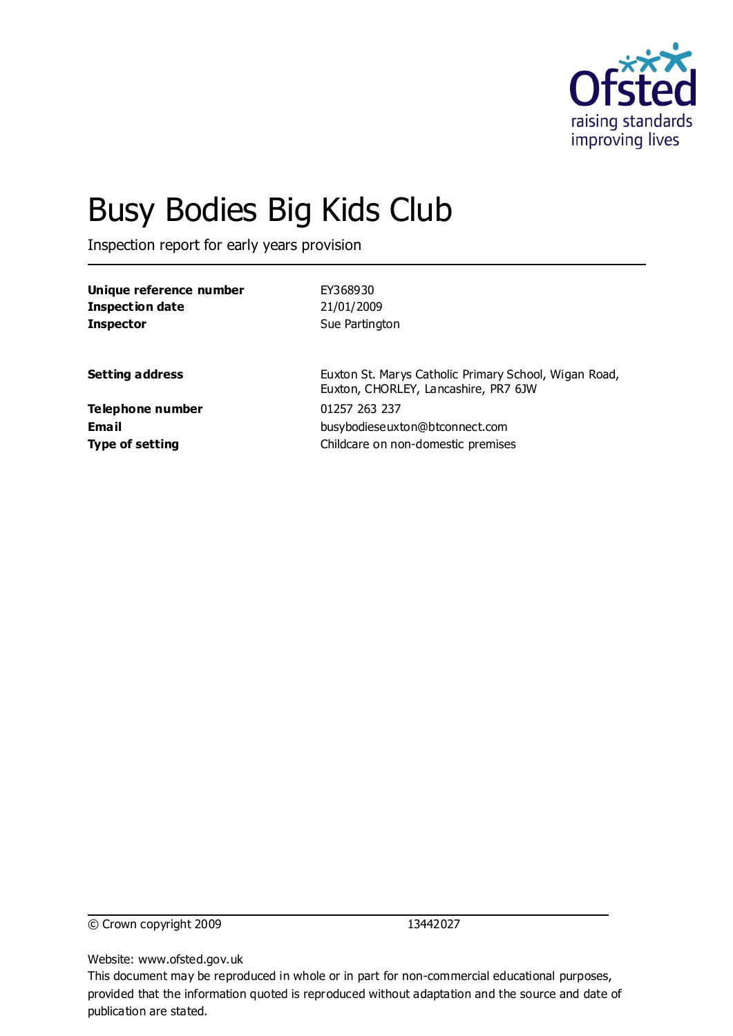

# Busy Bodies Big Kids Club

Inspection report for early years provision

| Unique reference number<br><b>Inspection date</b> | EY368930<br>21/01/2009                                                                        |
|---------------------------------------------------|-----------------------------------------------------------------------------------------------|
| <b>Inspector</b>                                  | Sue Partington                                                                                |
| <b>Setting address</b>                            | Euxton St. Marys Catholic Primary School, Wigan Road,<br>Euxton, CHORLEY, Lancashire, PR7 6JW |
| <b>Telephone number</b>                           | 01257 263 237                                                                                 |
| Email                                             | busybodieseuxton@btconnect.com                                                                |
| <b>Type of setting</b>                            | Childcare on non-domestic premises                                                            |

© Crown copyright 2009 13442027

Website: www.ofsted.gov.uk

This document may be reproduced in whole or in part for non-commercial educational purposes, provided that the information quoted is reproduced without adaptation and the source and date of publication are stated.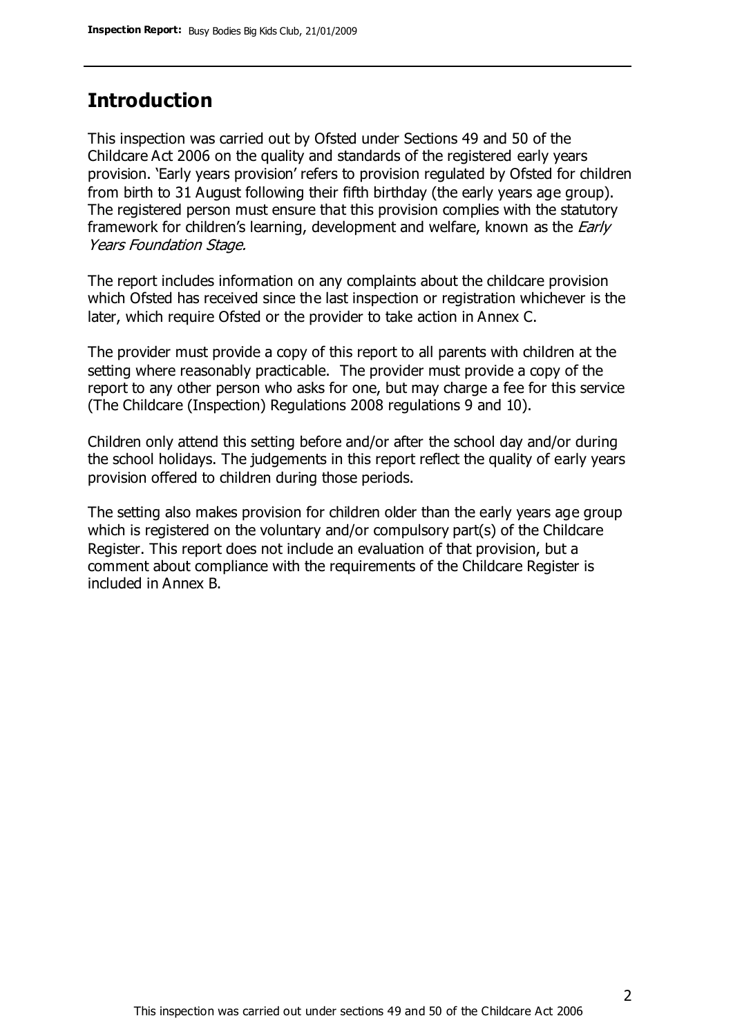### **Introduction**

This inspection was carried out by Ofsted under Sections 49 and 50 of the Childcare Act 2006 on the quality and standards of the registered early years provision. 'Early years provision' refers to provision regulated by Ofsted for children from birth to 31 August following their fifth birthday (the early years age group). The registered person must ensure that this provision complies with the statutory framework for children's learning, development and welfare, known as the *Early* Years Foundation Stage.

The report includes information on any complaints about the childcare provision which Ofsted has received since the last inspection or registration whichever is the later, which require Ofsted or the provider to take action in Annex C.

The provider must provide a copy of this report to all parents with children at the setting where reasonably practicable. The provider must provide a copy of the report to any other person who asks for one, but may charge a fee for this service (The Childcare (Inspection) Regulations 2008 regulations 9 and 10).

Children only attend this setting before and/or after the school day and/or during the school holidays. The judgements in this report reflect the quality of early years provision offered to children during those periods.

The setting also makes provision for children older than the early years age group which is registered on the voluntary and/or compulsory part(s) of the Childcare Register. This report does not include an evaluation of that provision, but a comment about compliance with the requirements of the Childcare Register is included in Annex B.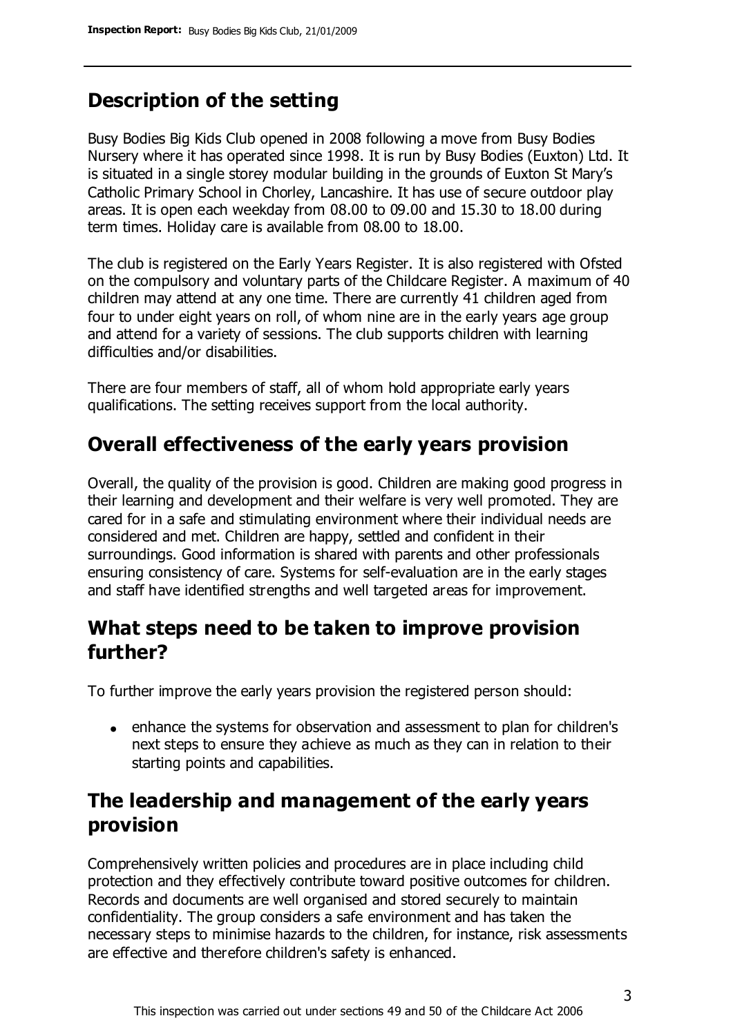### **Description of the setting**

Busy Bodies Big Kids Club opened in 2008 following a move from Busy Bodies Nursery where it has operated since 1998. It is run by Busy Bodies (Euxton) Ltd. It is situated in a single storey modular building in the grounds of Euxton St Mary's Catholic Primary School in Chorley, Lancashire. It has use of secure outdoor play areas. It is open each weekday from 08.00 to 09.00 and 15.30 to 18.00 during term times. Holiday care is available from 08.00 to 18.00.

The club is registered on the Early Years Register. It is also registered with Ofsted on the compulsory and voluntary parts of the Childcare Register. A maximum of 40 children may attend at any one time. There are currently 41 children aged from four to under eight years on roll, of whom nine are in the early years age group and attend for a variety of sessions. The club supports children with learning difficulties and/or disabilities.

There are four members of staff, all of whom hold appropriate early years qualifications. The setting receives support from the local authority.

### **Overall effectiveness of the early years provision**

Overall, the quality of the provision is good. Children are making good progress in their learning and development and their welfare is very well promoted. They are cared for in a safe and stimulating environment where their individual needs are considered and met. Children are happy, settled and confident in their surroundings. Good information is shared with parents and other professionals ensuring consistency of care. Systems for self-evaluation are in the early stages and staff have identified strengths and well targeted areas for improvement.

### **What steps need to be taken to improve provision further?**

To further improve the early years provision the registered person should:

enhance the systems for observation and assessment to plan for children's next steps to ensure they achieve as much as they can in relation to their starting points and capabilities.

# **The leadership and management of the early years provision**

Comprehensively written policies and procedures are in place including child protection and they effectively contribute toward positive outcomes for children. Records and documents are well organised and stored securely to maintain confidentiality. The group considers a safe environment and has taken the necessary steps to minimise hazards to the children, for instance, risk assessments are effective and therefore children's safety is enhanced.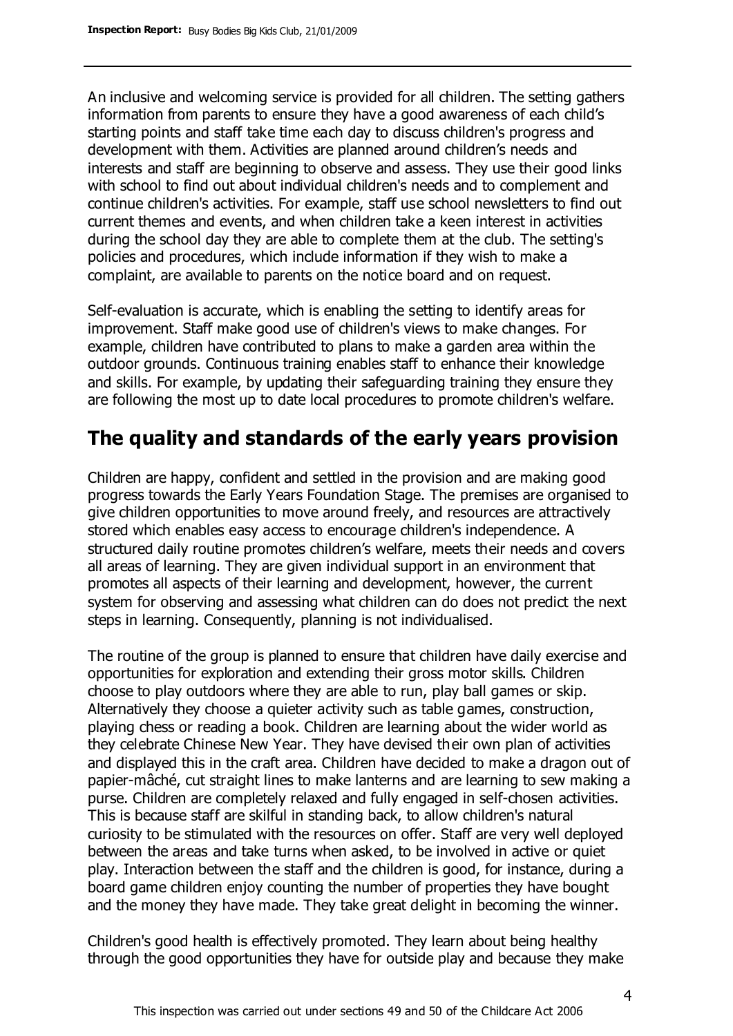An inclusive and welcoming service is provided for all children. The setting gathers information from parents to ensure they have a good awareness of each child's starting points and staff take time each day to discuss children's progress and development with them. Activities are planned around children's needs and interests and staff are beginning to observe and assess. They use their good links with school to find out about individual children's needs and to complement and continue children's activities. For example, staff use school newsletters to find out current themes and events, and when children take a keen interest in activities during the school day they are able to complete them at the club. The setting's policies and procedures, which include information if they wish to make a complaint, are available to parents on the notice board and on request.

Self-evaluation is accurate, which is enabling the setting to identify areas for improvement. Staff make good use of children's views to make changes. For example, children have contributed to plans to make a garden area within the outdoor grounds. Continuous training enables staff to enhance their knowledge and skills. For example, by updating their safeguarding training they ensure they are following the most up to date local procedures to promote children's welfare.

# **The quality and standards of the early years provision**

Children are happy, confident and settled in the provision and are making good progress towards the Early Years Foundation Stage. The premises are organised to give children opportunities to move around freely, and resources are attractively stored which enables easy access to encourage children's independence. A structured daily routine promotes children's welfare, meets their needs and covers all areas of learning. They are given individual support in an environment that promotes all aspects of their learning and development, however, the current system for observing and assessing what children can do does not predict the next steps in learning. Consequently, planning is not individualised.

The routine of the group is planned to ensure that children have daily exercise and opportunities for exploration and extending their gross motor skills. Children choose to play outdoors where they are able to run, play ball games or skip. Alternatively they choose a quieter activity such as table games, construction, playing chess or reading a book. Children are learning about the wider world as they celebrate Chinese New Year. They have devised their own plan of activities and displayed this in the craft area. Children have decided to make a dragon out of papier-mâché, cut straight lines to make lanterns and are learning to sew making a purse. Children are completely relaxed and fully engaged in self-chosen activities. This is because staff are skilful in standing back, to allow children's natural curiosity to be stimulated with the resources on offer. Staff are very well deployed between the areas and take turns when asked, to be involved in active or quiet play. Interaction between the staff and the children is good, for instance, during a board game children enjoy counting the number of properties they have bought and the money they have made. They take great delight in becoming the winner.

Children's good health is effectively promoted. They learn about being healthy through the good opportunities they have for outside play and because they make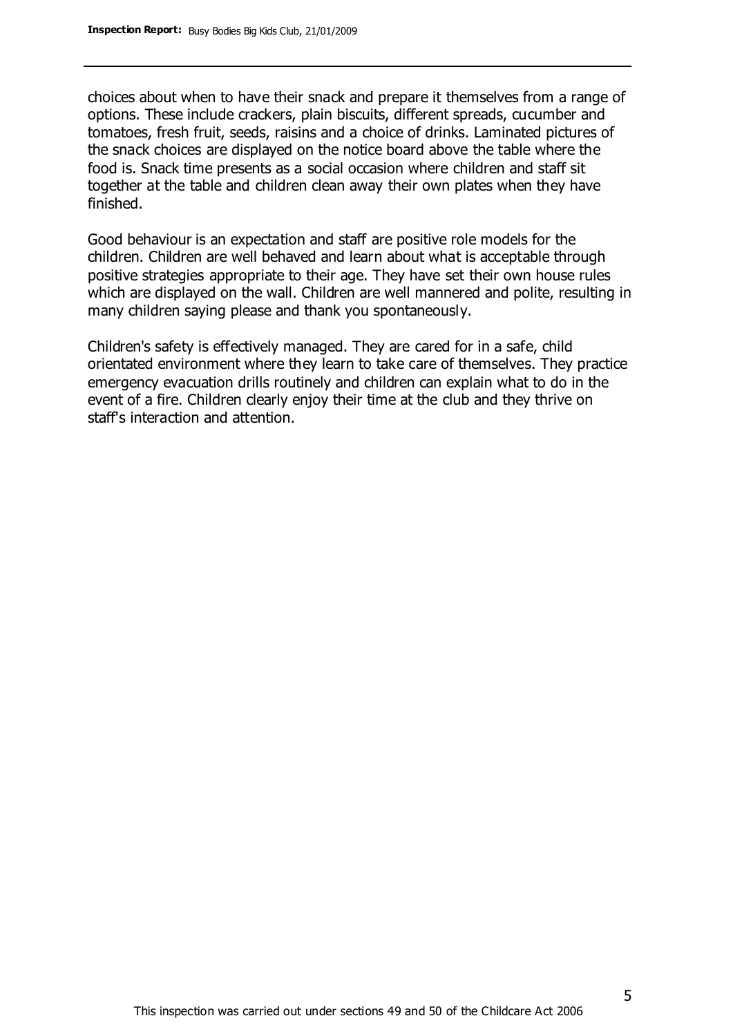choices about when to have their snack and prepare it themselves from a range of options. These include crackers, plain biscuits, different spreads, cucumber and tomatoes, fresh fruit, seeds, raisins and a choice of drinks. Laminated pictures of the snack choices are displayed on the notice board above the table where the food is. Snack time presents as a social occasion where children and staff sit together at the table and children clean away their own plates when they have finished.

Good behaviour is an expectation and staff are positive role models for the children. Children are well behaved and learn about what is acceptable through positive strategies appropriate to their age. They have set their own house rules which are displayed on the wall. Children are well mannered and polite, resulting in many children saying please and thank you spontaneously.

Children's safety is effectively managed. They are cared for in a safe, child orientated environment where they learn to take care of themselves. They practice emergency evacuation drills routinely and children can explain what to do in the event of a fire. Children clearly enjoy their time at the club and they thrive on staff's interaction and attention.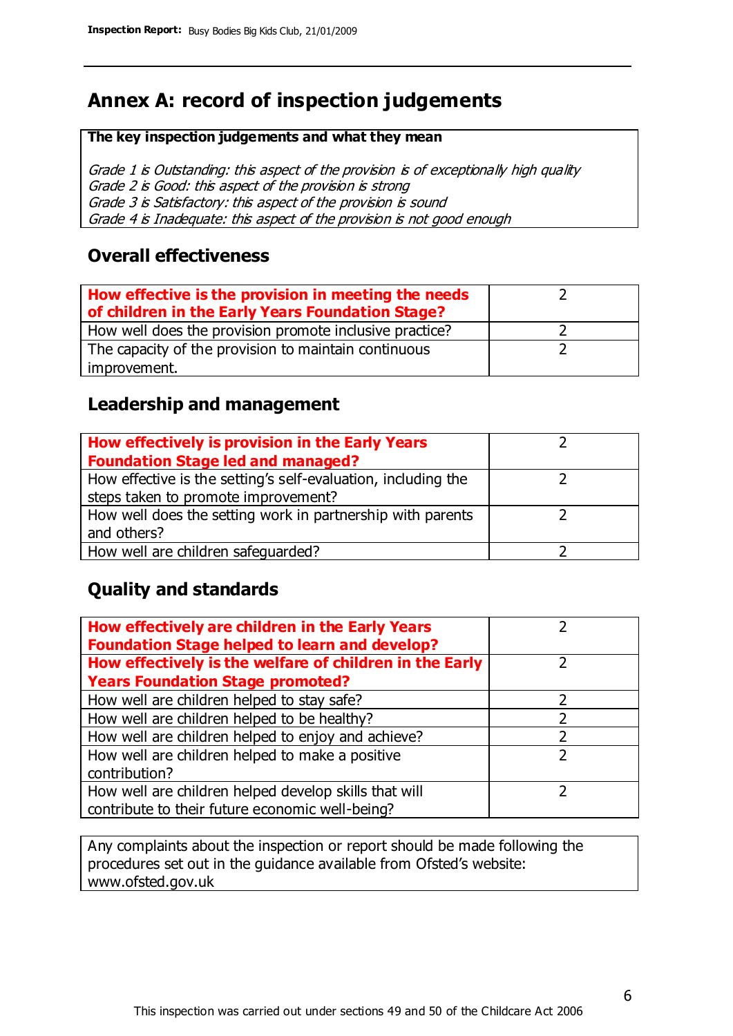# **Annex A: record of inspection judgements**

#### **The key inspection judgements and what they mean**

Grade 1 is Outstanding: this aspect of the provision is of exceptionally high quality Grade 2 is Good: this aspect of the provision is strong Grade 3 is Satisfactory: this aspect of the provision is sound Grade 4 is Inadequate: this aspect of the provision is not good enough

### **Overall effectiveness**

| How effective is the provision in meeting the needs<br>of children in the Early Years Foundation Stage? |  |
|---------------------------------------------------------------------------------------------------------|--|
| How well does the provision promote inclusive practice?                                                 |  |
| The capacity of the provision to maintain continuous                                                    |  |
| improvement.                                                                                            |  |

### **Leadership and management**

| How effectively is provision in the Early Years               |  |
|---------------------------------------------------------------|--|
| <b>Foundation Stage led and managed?</b>                      |  |
| How effective is the setting's self-evaluation, including the |  |
| steps taken to promote improvement?                           |  |
| How well does the setting work in partnership with parents    |  |
| and others?                                                   |  |
| How well are children safequarded?                            |  |

### **Quality and standards**

| How effectively are children in the Early Years<br><b>Foundation Stage helped to learn and develop?</b> |   |
|---------------------------------------------------------------------------------------------------------|---|
| How effectively is the welfare of children in the Early                                                 | ר |
| <b>Years Foundation Stage promoted?</b>                                                                 |   |
| How well are children helped to stay safe?                                                              |   |
| How well are children helped to be healthy?                                                             |   |
| How well are children helped to enjoy and achieve?                                                      |   |
| How well are children helped to make a positive                                                         | 2 |
| contribution?                                                                                           |   |
| How well are children helped develop skills that will                                                   |   |
| contribute to their future economic well-being?                                                         |   |

Any complaints about the inspection or report should be made following the procedures set out in the guidance available from Ofsted's website: www.ofsted.gov.uk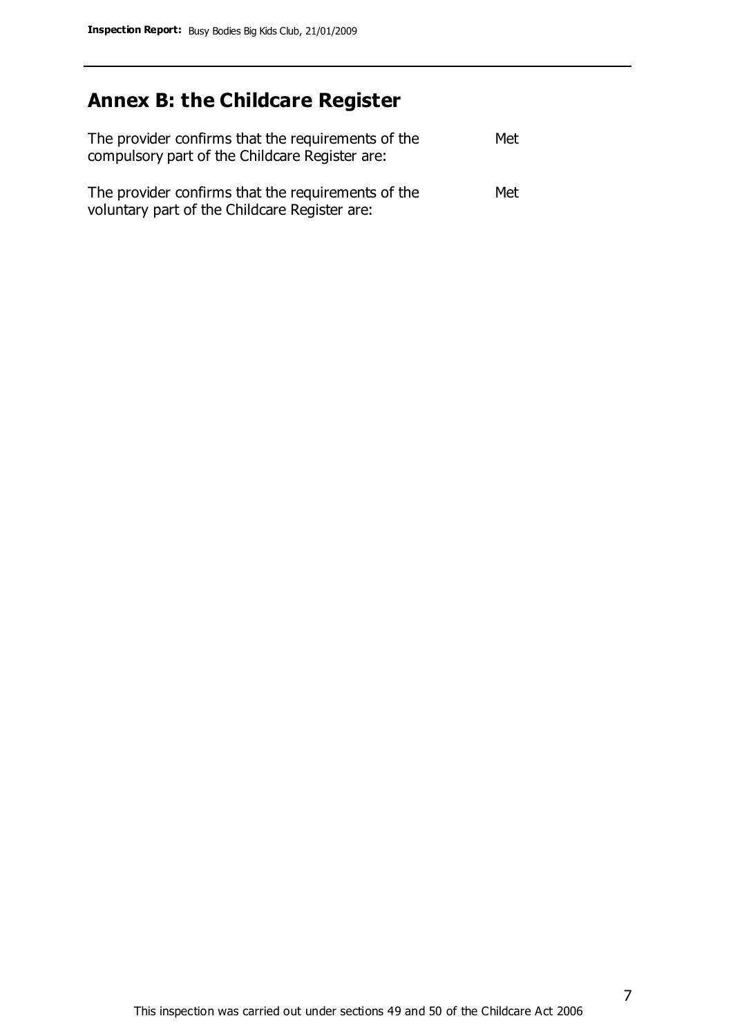# **Annex B: the Childcare Register**

| The provider confirms that the requirements of the<br>compulsory part of the Childcare Register are: | Met |
|------------------------------------------------------------------------------------------------------|-----|
| The provider confirms that the requirements of the<br>voluntary part of the Childcare Register are:  | Met |